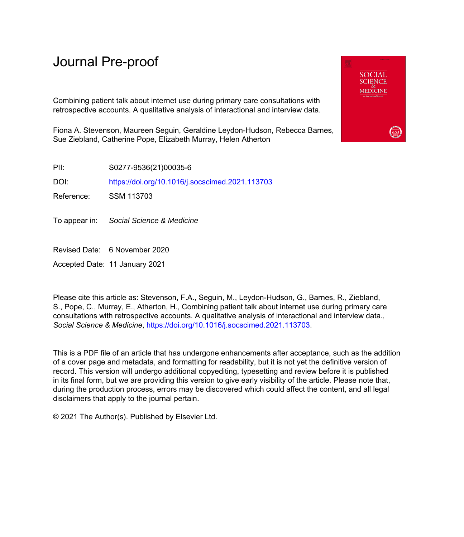# Journal Pre-proof

Combining patient talk about internet use during primary care consultations with retrospective accounts. A qualitative analysis of interactional and interview data.

Fiona A. Stevenson, Maureen Seguin, Geraldine Leydon-Hudson, Rebecca Barnes, Sue Ziebland, Catherine Pope, Elizabeth Murray, Helen Atherton

PII: S0277-9536(21)00035-6

DOI: <https://doi.org/10.1016/j.socscimed.2021.113703>

Reference: SSM 113703

To appear in: Social Science & Medicine

Revised Date: 6 November 2020

Accepted Date: 11 January 2021

Please cite this article as: Stevenson, F.A., Seguin, M., Leydon-Hudson, G., Barnes, R., Ziebland, S., Pope, C., Murray, E., Atherton, H., Combining patient talk about internet use during primary care consultations with retrospective accounts. A qualitative analysis of interactional and interview data., *Social Science & Medicine*, [https://doi.org/10.1016/j.socscimed.2021.113703.](https://doi.org/10.1016/j.socscimed.2021.113703)

This is a PDF file of an article that has undergone enhancements after acceptance, such as the addition of a cover page and metadata, and formatting for readability, but it is not yet the definitive version of record. This version will undergo additional copyediting, typesetting and review before it is published in its final form, but we are providing this version to give early visibility of the article. Please note that, during the production process, errors may be discovered which could affect the content, and all legal disclaimers that apply to the journal pertain.

© 2021 The Author(s). Published by Elsevier Ltd.

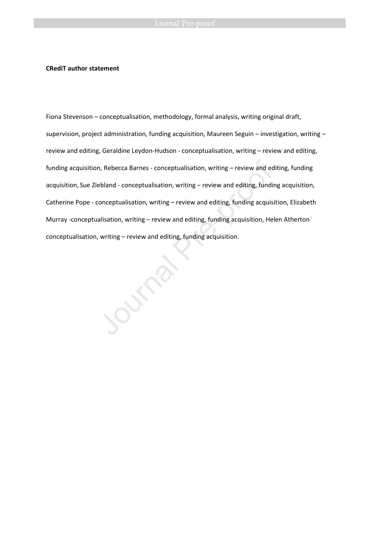### **CRediT author statement**

Fiona Stevenson – conceptualisation, methodology, formal analysis, writing original draft, supervision, project administration, funding acquisition, Maureen Seguin – investigation, writing – review and editing, Geraldine Leydon-Hudson - conceptualisation, writing – review and editing, funding acquisition, Rebecca Barnes - conceptualisation, writing – review and editing, funding acquisition, Sue Ziebland - conceptualisation, writing – review and editing, funding acquisition, Catherine Pope - conceptualisation, writing – review and editing, funding acquisition, Elizabeth Murray -conceptualisation, writing – review and editing, funding acquisition, Helen Atherton conceptualisation, writing – review and editing, funding acquisition.<br>Journal Pre-proof of the pre-proof of the pre-proof of the pre-proof of the pre-proof of the pre-proof of the pre-proof of the pre-proof of the pre-proo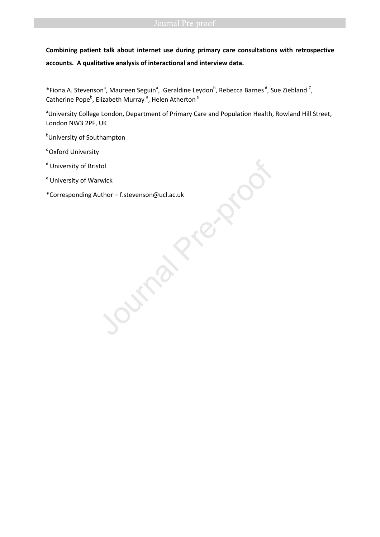**Combining patient talk about internet use during primary care consultations with retrospective accounts. A qualitative analysis of interactional and interview data.** 

\*Fiona A. Stevenson<sup>a</sup>, Maureen Seguin<sup>a</sup>, Geraldine Leydon<sup>b</sup>, Rebecca Barnes<sup>d</sup>, Sue Ziebland <sup>C</sup>, Catherine Pope<sup>b</sup>, Elizabeth Murray <sup>a</sup>, Helen Atherton <sup>e</sup>

<sup>a</sup>University College London, Department of Primary Care and Population Health, Rowland Hill Street, London NW3 2PF, UK

**b**University of Southampton

<sup>c</sup> Oxford University

<sup>d</sup> University of Bristol

<sup>e</sup> University of Warwick

\*Corresponding Author – f.stevenson@ucl.ac.uk<br>Journal Pre-proof of the pre-proof of the pre-proof of the pre-proof of the proof of the proof of the proof of the proof of the proof of the proof of the proof of the proof of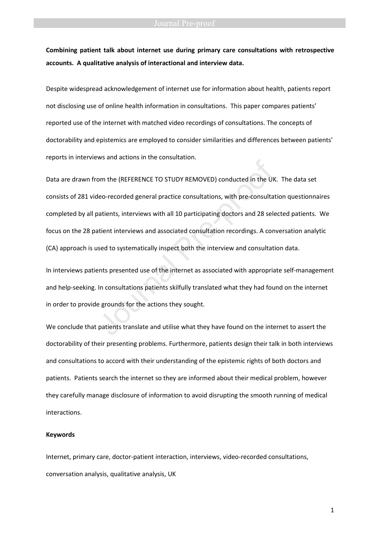**Combining patient talk about internet use during primary care consultations with retrospective accounts. A qualitative analysis of interactional and interview data.** 

Despite widespread acknowledgement of internet use for information about health, patients report not disclosing use of online health information in consultations. This paper compares patients' reported use of the internet with matched video recordings of consultations. The concepts of doctorability and epistemics are employed to consider similarities and differences between patients' reports in interviews and actions in the consultation.

Data are drawn from the (REFERENCE TO STUDY REMOVED) conducted in the UK. The data set consists of 281 video-recorded general practice consultations, with pre-consultation questionnaires completed by all patients, interviews with all 10 participating doctors and 28 selected patients. We focus on the 28 patient interviews and associated consultation recordings. A conversation analytic (CA) approach is used to systematically inspect both the interview and consultation data. In the consultation.<br>
Journal detection in the consultation:<br>
Heo-recorded general practice consultations, with pre-consulta<br>
Datients, interviews with all 10 participating doctors and 28 selection<br>
statient interviews and

In interviews patients presented use of the internet as associated with appropriate self-management and help-seeking. In consultations patients skilfully translated what they had found on the internet in order to provide grounds for the actions they sought.

We conclude that patients translate and utilise what they have found on the internet to assert the doctorability of their presenting problems. Furthermore, patients design their talk in both interviews and consultations to accord with their understanding of the epistemic rights of both doctors and patients. Patients search the internet so they are informed about their medical problem, however they carefully manage disclosure of information to avoid disrupting the smooth running of medical interactions.

### **Keywords**

Internet, primary care, doctor-patient interaction, interviews, video-recorded consultations, conversation analysis, qualitative analysis, UK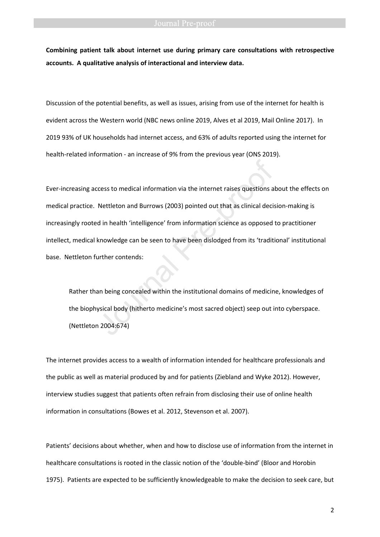**Combining patient talk about internet use during primary care consultations with retrospective accounts. A qualitative analysis of interactional and interview data.** 

Discussion of the potential benefits, as well as issues, arising from use of the internet for health is evident across the Western world (NBC news online 2019, Alves et al 2019, Mail Online 2017). In 2019 93% of UK households had internet access, and 63% of adults reported using the internet for health-related information - an increase of 9% from the previous year (ONS 2019).

Ever-increasing access to medical information via the internet raises questions about the effects on medical practice. Nettleton and Burrows (2003) pointed out that as clinical decision-making is increasingly rooted in health 'intelligence' from information science as opposed to practitioner intellect, medical knowledge can be seen to have been dislodged from its 'traditional' institutional base. Nettleton further contends: cess to medical information via the internet raises questions a<br>Nettleton and Burrows (2003) pointed out that as clinical decise<br>d in health 'intelligence' from information science as opposed<br>knowledge can be seen to have

Rather than being concealed within the institutional domains of medicine, knowledges of the biophysical body (hitherto medicine's most sacred object) seep out into cyberspace. (Nettleton 2004:674)

The internet provides access to a wealth of information intended for healthcare professionals and the public as well as material produced by and for patients (Ziebland and Wyke 2012). However, interview studies suggest that patients often refrain from disclosing their use of online health information in consultations (Bowes et al. 2012, Stevenson et al. 2007).

Patients' decisions about whether, when and how to disclose use of information from the internet in healthcare consultations is rooted in the classic notion of the 'double-bind' (Bloor and Horobin 1975). Patients are expected to be sufficiently knowledgeable to make the decision to seek care, but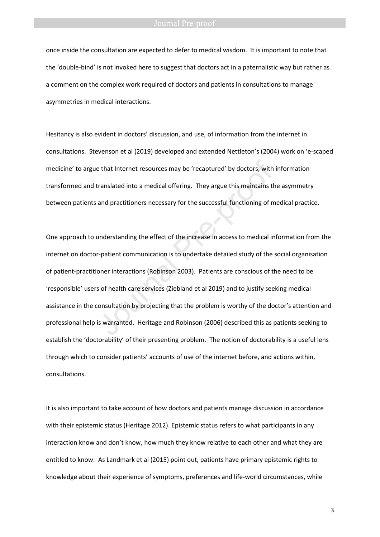once inside the consultation are expected to defer to medical wisdom. It is important to note that the 'double-bind' is not invoked here to suggest that doctors act in a paternalistic way but rather as a comment on the complex work required of doctors and patients in consultations to manage asymmetries in medical interactions.

Hesitancy is also evident in doctors' discussion, and use, of information from the internet in consultations. Stevenson et al (2019) developed and extended Nettleton's (2004) work on 'e-scaped medicine' to argue that Internet resources may be 'recaptured' by doctors, with information transformed and translated into a medical offering. They argue this maintains the asymmetry between patients and practitioners necessary for the successful functioning of medical practice.

One approach to understanding the effect of the increase in access to medical information from the internet on doctor-patient communication is to undertake detailed study of the social organisation of patient-practitioner interactions (Robinson 2003). Patients are conscious of the need to be 'responsible' users of health care services (Ziebland et al 2019) and to justify seeking medical assistance in the consultation by projecting that the problem is worthy of the doctor's attention and professional help is warranted. Heritage and Robinson (2006) described this as patients seeking to establish the 'doctorability' of their presenting problem. The notion of doctorability is a useful lens through which to consider patients' accounts of use of the internet before, and actions within, consultations. e that Internet resources may be 'recaptured' by doctors, with<br>translated into a medical offering. They argue this maintains th<br>and practitioners necessary for the successful functioning of m<br>understanding the effect of th

It is also important to take account of how doctors and patients manage discussion in accordance with their epistemic status (Heritage 2012). Epistemic status refers to what participants in any interaction know and don't know, how much they know relative to each other and what they are entitled to know. As Landmark et al (2015) point out, patients have primary epistemic rights to knowledge about their experience of symptoms, preferences and life-world circumstances, while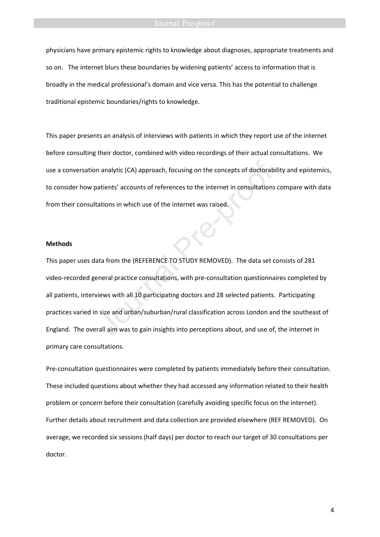physicians have primary epistemic rights to knowledge about diagnoses, appropriate treatments and so on. The internet blurs these boundaries by widening patients' access to information that is broadly in the medical professional's domain and vice versa. This has the potential to challenge traditional epistemic boundaries/rights to knowledge.

This paper presents an analysis of interviews with patients in which they report use of the internet before consulting their doctor, combined with video recordings of their actual consultations. We use a conversation analytic (CA) approach, focusing on the concepts of doctorability and epistemics, to consider how patients' accounts of references to the internet in consultations compare with data from their consultations in which use of the internet was raised.

### **Methods**

This paper uses data from the (REFERENCE TO STUDY REMOVED). The data set consists of 281 video-recorded general practice consultations, with pre-consultation questionnaires completed by all patients, interviews with all 10 participating doctors and 28 selected patients. Participating practices varied in size and urban/suburban/rural classification across London and the southeast of England. The overall aim was to gain insights into perceptions about, and use of, the internet in primary care consultations. n analytic (CA) approach, focusing on the concepts of doctorab<br>atients' accounts of references to the internet in consultations<br>ations in which use of the internet was raised.<br>Ata from the (REFERENCE TO STUDY REMOVED). The

Pre-consultation questionnaires were completed by patients immediately before their consultation. These included questions about whether they had accessed any information related to their health problem or concern before their consultation (carefully avoiding specific focus on the internet). Further details about recruitment and data collection are provided elsewhere (REF REMOVED). On average, we recorded six sessions (half days) per doctor to reach our target of 30 consultations per doctor.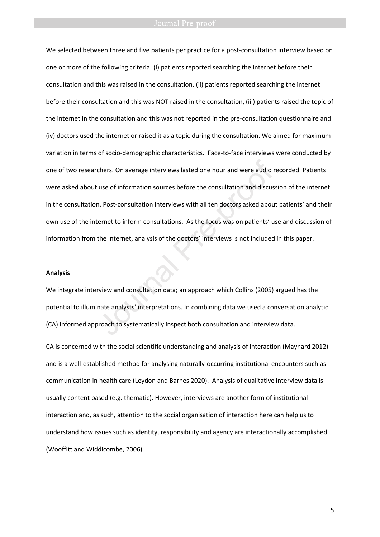We selected between three and five patients per practice for a post-consultation interview based on one or more of the following criteria: (i) patients reported searching the internet before their consultation and this was raised in the consultation, (ii) patients reported searching the internet before their consultation and this was NOT raised in the consultation, (iii) patients raised the topic of the internet in the consultation and this was not reported in the pre-consultation questionnaire and (iv) doctors used the internet or raised it as a topic during the consultation. We aimed for maximum variation in terms of socio-demographic characteristics. Face-to-face interviews were conducted by one of two researchers. On average interviews lasted one hour and were audio recorded. Patients were asked about use of information sources before the consultation and discussion of the internet in the consultation. Post-consultation interviews with all ten doctors asked about patients' and their own use of the internet to inform consultations. As the focus was on patients' use and discussion of information from the internet, analysis of the doctors' interviews is not included in this paper. chers. On average interviews lasted one hour and were audio ruse of information sources before the consultation and discus<br>n. Post-consultation interviews with all ten doctors asked about<br>cernet to inform consultations. As

### **Analysis**

We integrate interview and consultation data; an approach which Collins (2005) argued has the potential to illuminate analysts' interpretations. In combining data we used a conversation analytic (CA) informed approach to systematically inspect both consultation and interview data.

CA is concerned with the social scientific understanding and analysis of interaction (Maynard 2012) and is a well-established method for analysing naturally-occurring institutional encounters such as communication in health care (Leydon and Barnes 2020). Analysis of qualitative interview data is usually content based (e.g. thematic). However, interviews are another form of institutional interaction and, as such, attention to the social organisation of interaction here can help us to understand how issues such as identity, responsibility and agency are interactionally accomplished (Wooffitt and Widdicombe, 2006).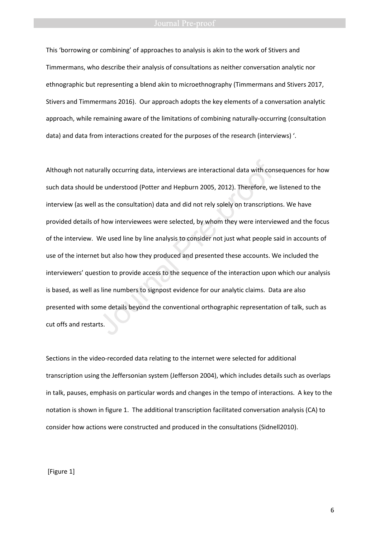### **Journal Pre-proof**

This 'borrowing or combining' of approaches to analysis is akin to the work of Stivers and Timmermans, who describe their analysis of consultations as neither conversation analytic nor ethnographic but representing a blend akin to microethnography (Timmermans and Stivers 2017, Stivers and Timmermans 2016). Our approach adopts the key elements of a conversation analytic approach, while remaining aware of the limitations of combining naturally-occurring (consultation data) and data from interactions created for the purposes of the research (interviews) '.

Although not naturally occurring data, interviews are interactional data with consequences for how such data should be understood (Potter and Hepburn 2005, 2012). Therefore, we listened to the interview (as well as the consultation) data and did not rely solely on transcriptions. We have provided details of how interviewees were selected, by whom they were interviewed and the focus of the interview. We used line by line analysis to consider not just what people said in accounts of use of the internet but also how they produced and presented these accounts. We included the interviewers' question to provide access to the sequence of the interaction upon which our analysis is based, as well as line numbers to signpost evidence for our analytic claims. Data are also presented with some details beyond the conventional orthographic representation of talk, such as cut offs and restarts. atly occurring data, interviews are interactional data with conceled understood (Potter and Hepburn 2005, 2012). Therefore, we as the consultation) data and did not rely solely on transcription f how interviewees were sele

Sections in the video-recorded data relating to the internet were selected for additional transcription using the Jeffersonian system (Jefferson 2004), which includes details such as overlaps in talk, pauses, emphasis on particular words and changes in the tempo of interactions. A key to the notation is shown in figure 1. The additional transcription facilitated conversation analysis (CA) to consider how actions were constructed and produced in the consultations (Sidnell2010).

[Figure 1]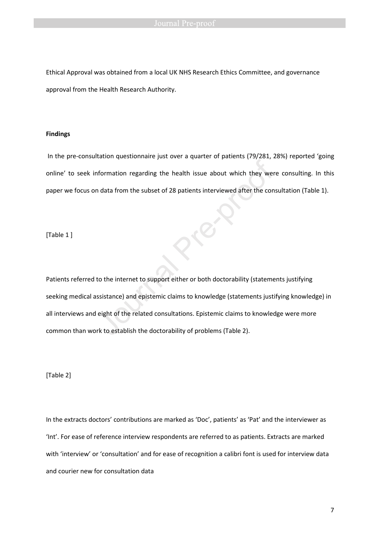Ethical Approval was obtained from a local UK NHS Research Ethics Committee, and governance approval from the Health Research Authority.

### **Findings**

 In the pre-consultation questionnaire just over a quarter of patients (79/281, 28%) reported 'going online' to seek information regarding the health issue about which they were consulting. In this paper we focus on data from the subset of 28 patients interviewed after the consultation (Table 1).

[Table 1 ]

Patients referred to the internet to support either or both doctorability (statements justifying seeking medical assistance) and epistemic claims to knowledge (statements justifying knowledge) in all interviews and eight of the related consultations. Epistemic claims to knowledge were more common than work to establish the doctorability of problems (Table 2). Information regarding the health issue about which they were<br>
a data from the subset of 28 patients interviewed after the condition<br>
to the internet to support either or both doctorability (statemeresistance)<br>
and epistemi

[Table 2]

In the extracts doctors' contributions are marked as 'Doc', patients' as 'Pat' and the interviewer as 'Int'. For ease of reference interview respondents are referred to as patients. Extracts are marked with 'interview' or 'consultation' and for ease of recognition a calibri font is used for interview data and courier new for consultation data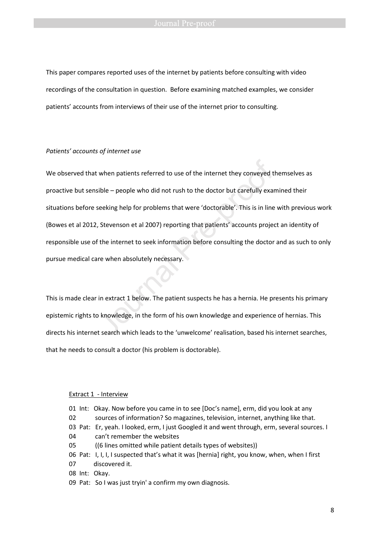This paper compares reported uses of the internet by patients before consulting with video recordings of the consultation in question. Before examining matched examples, we consider patients' accounts from interviews of their use of the internet prior to consulting.

### *Patients' accounts of internet use*

We observed that when patients referred to use of the internet they conveyed themselves as proactive but sensible – people who did not rush to the doctor but carefully examined their situations before seeking help for problems that were 'doctorable'. This is in line with previous work (Bowes et al 2012, Stevenson et al 2007) reporting that patients' accounts project an identity of responsible use of the internet to seek information before consulting the doctor and as such to only pursue medical care when absolutely necessary. when patients referred to use of the internet they conveyed t<br>sible – people who did not rush to the doctor but carefully exame<br>seeking help for problems that were 'doctorable'. This is in line<br>, Stevenson et al 2007) repo

This is made clear in extract 1 below. The patient suspects he has a hernia. He presents his primary epistemic rights to knowledge, in the form of his own knowledge and experience of hernias. This directs his internet search which leads to the 'unwelcome' realisation, based his internet searches, that he needs to consult a doctor (his problem is doctorable).

### Extract 1 - Interview

01 Int: Okay. Now before you came in to see [Doc's name], erm, did you look at any 02 sources of information? So magazines, television, internet, anything like that. 03 Pat: Er, yeah. I looked, erm, I just Googled it and went through, erm, several sources. I 04 can't remember the websites 05 ((6 lines omitted while patient details types of websites)) 06 Pat: I, I, I, I suspected that's what it was [hernia] right, you know, when, when I first 07 discovered it. 08Int:Okay.

09 Pat: So I was just tryin' a confirm my own diagnosis.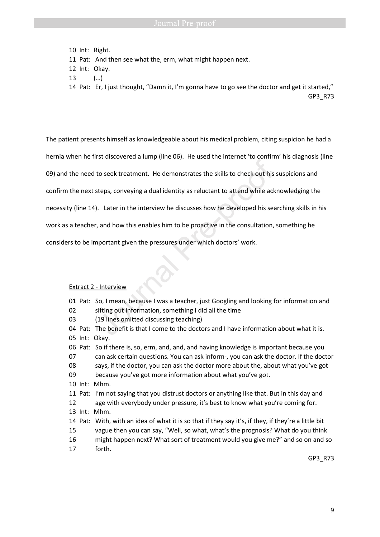10Int: Right.

11 Pat: And then see what the, erm, what might happen next.

- 12 Int: Okay.
- 13 (…)

14 Pat: Er, I just thought, "Damn it, I'm gonna have to go see the doctor and get it started," GP3\_R73

The patient presents himself as knowledgeable about his medical problem, citing suspicion he had a hernia when he first discovered a lump (line 06). He used the internet 'to confirm' his diagnosis (line 09) and the need to seek treatment. He demonstrates the skills to check out his suspicions and confirm the next steps, conveying a dual identity as reluctant to attend while acknowledging the necessity (line 14). Later in the interview he discusses how he developed his searching skills in his work as a teacher, and how this enables him to be proactive in the consultation, something he considers to be important given the pressures under which doctors' work. In the seek treatment. He demonstrates the skills to check out his<br>teps, conveying a dual identity as reluctant to attend while ack-<br>Later in the interview he discusses how he developed his sea<br>, and how this enables him t

## Extract 2 - Interview

|    |           | 01 Pat: So, I mean, because I was a teacher, just Googling and looking for information and          |
|----|-----------|-----------------------------------------------------------------------------------------------------|
| 02 |           | sifting out information, something I did all the time                                               |
| 03 |           | (19 lines omitted discussing teaching)                                                              |
|    |           | 04 Pat: The benefit is that I come to the doctors and I have information about what it is.          |
|    |           | 05 Int: Okay.                                                                                       |
|    |           | 06 Pat: So if there is, so, erm, and, and, and having knowledge is important because you            |
| 07 |           | can ask certain questions. You can ask inform-, you can ask the doctor. If the doctor               |
| 08 |           | says, if the doctor, you can ask the doctor more about the, about what you've got                   |
| 09 |           | because you've got more information about what you've got.                                          |
|    |           | 10 Int: Mhm.                                                                                        |
|    |           | 11 Pat: I'm not saying that you distrust doctors or anything like that. But in this day and         |
| 12 |           | age with everybody under pressure, it's best to know what you're coming for.                        |
|    | $13$ Int: | Mhm.                                                                                                |
|    |           | 14 Pat: With, with an idea of what it is so that if they say it's, if they, if they're a little bit |
| 15 |           | vague then you can say, "Well, so what, what's the prognosis? What do you think                     |
| 16 |           | might happen next? What sort of treatment would you give me?" and so on and so                      |
| 17 |           | forth.                                                                                              |
|    |           | GP3 R73                                                                                             |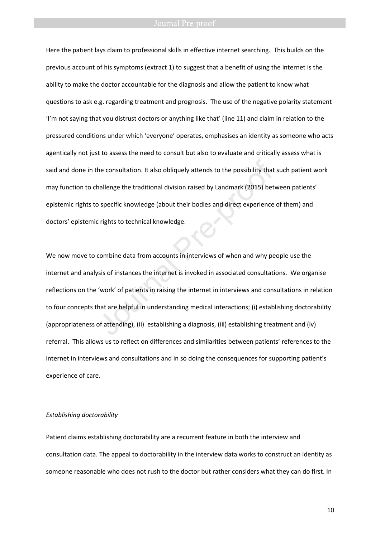Here the patient lays claim to professional skills in effective internet searching. This builds on the previous account of his symptoms (extract 1) to suggest that a benefit of using the internet is the ability to make the doctor accountable for the diagnosis and allow the patient to know what questions to ask e.g. regarding treatment and prognosis. The use of the negative polarity statement 'I'm not saying that you distrust doctors or anything like that' (line 11) and claim in relation to the pressured conditions under which 'everyone' operates, emphasises an identity as someone who acts agentically not just to assess the need to consult but also to evaluate and critically assess what is said and done in the consultation. It also obliquely attends to the possibility that such patient work may function to challenge the traditional division raised by Landmark (2015) between patients' epistemic rights to specific knowledge (about their bodies and direct experience of them) and doctors' epistemic rights to technical knowledge.

We now move to combine data from accounts in interviews of when and why people use the internet and analysis of instances the internet is invoked in associated consultations. We organise reflections on the 'work' of patients in raising the internet in interviews and consultations in relation to four concepts that are helpful in understanding medical interactions; (i) establishing doctorability (appropriateness of attending), (ii) establishing a diagnosis, (iii) establishing treatment and (iv) referral. This allows us to reflect on differences and similarities between patients' references to the internet in interviews and consultations and in so doing the consequences for supporting patient's experience of care. he consultation. It also obliquely attends to the possibility that<br>hallenge the traditional division raised by Landmark (2015) bet<br>o specific knowledge (about their bodies and direct experience<br>c rights to technical knowle

### *Establishing doctorability*

Patient claims establishing doctorability are a recurrent feature in both the interview and consultation data. The appeal to doctorability in the interview data works to construct an identity as someone reasonable who does not rush to the doctor but rather considers what they can do first. In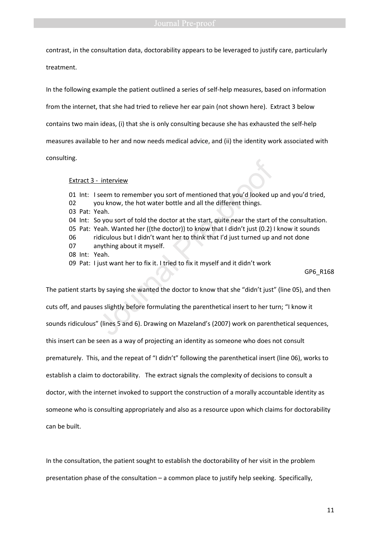contrast, in the consultation data, doctorability appears to be leveraged to justify care, particularly

treatment.

In the following example the patient outlined a series of self-help measures, based on information

from the internet, that she had tried to relieve her ear pain (not shown here). Extract 3 below

contains two main ideas, (i) that she is only consulting because she has exhausted the self-help

measures available to her and now needs medical advice, and (ii) the identity work associated with

consulting.

### Extract 3 - interview

01 Int: I seem to remember you sort of mentioned that you'd looked up and you'd tried, 02 you know, the hot water bottle and all the different things. 03 Pat: Yeah. 04 Int: So you sort of told the doctor at the start, quite near the start of the consultation. 05 Pat: Yeah. Wanted her ((the doctor)) to know that I didn't just (0.2) I know it sounds 06 ridiculous but I didn't want her to think that I'd just turned up and not done 07 anything about it myself. 08 Int: Yeah. 09 Pat: I just want her to fix it. I tried to fix it myself and it didn't work GP6\_R168 of the member you sort of mentioned that you'd looked using the seem to remember you sort of mentioned that you'd looked using the out know, the hot water bottle and all the different things. The east of each. Wanted her (

The patient starts by saying she wanted the doctor to know that she "didn't just" (line 05), and then cuts off, and pauses slightly before formulating the parenthetical insert to her turn; "I know it sounds ridiculous" (lines 5 and 6). Drawing on Mazeland's (2007) work on parenthetical sequences, this insert can be seen as a way of projecting an identity as someone who does not consult prematurely. This, and the repeat of "I didn't" following the parenthetical insert (line 06), works to establish a claim to doctorability. The extract signals the complexity of decisions to consult a doctor, with the internet invoked to support the construction of a morally accountable identity as someone who is consulting appropriately and also as a resource upon which claims for doctorability can be built.

In the consultation, the patient sought to establish the doctorability of her visit in the problem presentation phase of the consultation – a common place to justify help seeking. Specifically,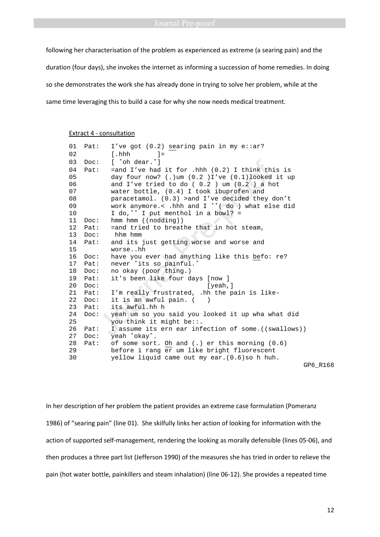following her characterisation of the problem as experienced as extreme (a searing pain) and the duration (four days), she invokes the internet as informing a succession of home remedies. In doing so she demonstrates the work she has already done in trying to solve her problem, while at the same time leveraging this to build a case for why she now needs medical treatment.

### Extract 4 - consultation

| 01 | Pat: | I've got $(0.2)$ searing pain in my e::ar?                                                  |
|----|------|---------------------------------------------------------------------------------------------|
| 02 |      | [.hhh<br>$=$                                                                                |
| 03 | Doc: | f 'oh dear.'l                                                                               |
| 04 | Pat: | =and I've had it for .hhh $(0.2)$ I think this is                                           |
| 05 |      | day four now? (.) um $(0.2)I$ 've $(0.1)$ looked it up                                      |
| 06 |      | and I've tried to do ( $0.2$ ) um ( $0.2$ ) a hot                                           |
| 07 |      | water bottle, (0.4) I took ibuprofen and                                                    |
| 08 |      | paracetamol. (0.3) > and I've decided they don't                                            |
| 09 |      | work anymore.< .hhh and I ''(do ) what else did                                             |
| 10 |      | I do,'' I put menthol in a bowl? =                                                          |
| 11 | Doc: | $hmm$ $hmm$ $(nodding)$                                                                     |
| 12 | Pat: | =and tried to breathe that in hot steam,                                                    |
| 13 | Doc: | hhm hmm                                                                                     |
| 14 | Pat: | and its just getting worse and worse and                                                    |
| 15 |      | worsehh                                                                                     |
| 16 | Doc: | have you ever had anything like this befo: re?                                              |
| 17 | Pat: | never 'its so painful.'                                                                     |
| 18 | Doc: | no okay (poor thing.)                                                                       |
| 19 | Pat: | it's been like four days [now ]                                                             |
| 20 | Doc: | $[$ yeah, $]$                                                                               |
| 21 | Pat: | I'm really frustrated, .hh the pain is like-                                                |
| 22 | Doc: | it is an awful pain. (                                                                      |
| 23 | Pat: | its awful.hh h                                                                              |
| 24 | Doc: | yeah um so you said you looked it up wha what did                                           |
| 25 |      | you think it might be::.                                                                    |
| 26 | Pat: | I assume its ern ear infection of some. ((swallows))                                        |
| 27 | Doc: | yeah 'okay'.                                                                                |
| 28 | Pat: | of some sort. Oh and $(.)$ er this morning $(0.6)$                                          |
| 29 |      | before i rang er um like bright fluorescent                                                 |
| 30 |      | yellow liquid came out my ear. (0.6) so h huh.<br>$\sim$ $\sim$ $\sim$ $\sim$ $\sim$ $\sim$ |
|    |      |                                                                                             |

GP6\_R168

In her description of her problem the patient provides an extreme case formulation (Pomeranz 1986) of "searing pain" (line 01). She skilfully links her action of looking for information with the action of supported self-management, rendering the looking as morally defensible (lines 05-06), and then produces a three part list (Jefferson 1990) of the measures she has tried in order to relieve the pain (hot water bottle, painkillers and steam inhalation) (line 06-12). She provides a repeated time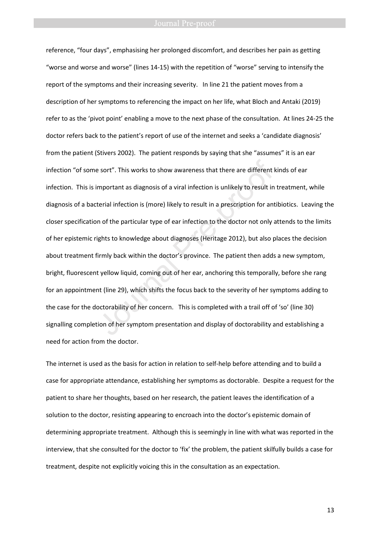reference, "four days", emphasising her prolonged discomfort, and describes her pain as getting "worse and worse and worse" (lines 14-15) with the repetition of "worse" serving to intensify the report of the symptoms and their increasing severity. In line 21 the patient moves from a description of her symptoms to referencing the impact on her life, what Bloch and Antaki (2019) refer to as the 'pivot point' enabling a move to the next phase of the consultation. At lines 24-25 the doctor refers back to the patient's report of use of the internet and seeks a 'candidate diagnosis' from the patient (Stivers 2002). The patient responds by saying that she "assumes" it is an ear infection "of some sort". This works to show awareness that there are different kinds of ear infection. This is important as diagnosis of a viral infection is unlikely to result in treatment, while diagnosis of a bacterial infection is (more) likely to result in a prescription for antibiotics. Leaving the closer specification of the particular type of ear infection to the doctor not only attends to the limits of her epistemic rights to knowledge about diagnoses (Heritage 2012), but also places the decision about treatment firmly back within the doctor's province. The patient then adds a new symptom, bright, fluorescent yellow liquid, coming out of her ear, anchoring this temporally, before she rang for an appointment (line 29), which shifts the focus back to the severity of her symptoms adding to the case for the doctorability of her concern. This is completed with a trail off of 'so' (line 30) signalling completion of her symptom presentation and display of doctorability and establishing a need for action from the doctor. e sort". This works to show awareness that there are different I<br>mportant as diagnosis of a viral infection is unlikely to result in<br>terial infection is (more) likely to result in a prescription for ant<br>n of the particular

The internet is used as the basis for action in relation to self-help before attending and to build a case for appropriate attendance, establishing her symptoms as doctorable. Despite a request for the patient to share her thoughts, based on her research, the patient leaves the identification of a solution to the doctor, resisting appearing to encroach into the doctor's epistemic domain of determining appropriate treatment. Although this is seemingly in line with what was reported in the interview, that she consulted for the doctor to 'fix' the problem, the patient skilfully builds a case for treatment, despite not explicitly voicing this in the consultation as an expectation.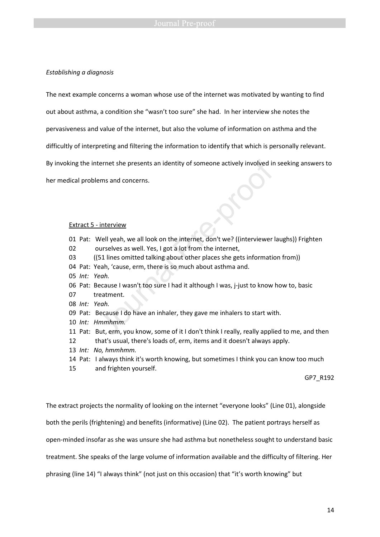### *Establishing a diagnosis*

The next example concerns a woman whose use of the internet was motivated by wanting to find

out about asthma, a condition she "wasn't too sure" she had. In her interview she notes the

pervasiveness and value of the internet, but also the volume of information on asthma and the

difficultly of interpreting and filtering the information to identify that which is personally relevant.

By invoking the internet she presents an identity of someone actively involved in seeking answers to

her medical problems and concerns.

### Extract 5 - interview

- 01 Pat: Well yeah, we all look on the internet, don't we? ((interviewer laughs)) Frighten 02 ourselves as well. Yes, I got a lot from the internet, 03 ((51 lines omitted talking about other places she gets information from)) ternet she presents an identity of someone actively involved in<br>ems and concerns.<br>The same and concerns.<br>The same of the internet, don't we? ((interviewer lurselves as well. Yes, I got a lot from the internet,<br>(51 lines om
- 04 Pat: Yeah, 'cause, erm, there is so much about asthma and.
- 05 *Int: Yeah.*
- 06 Pat: Because I wasn't too sure I had it although I was, j-just to know how to, basic
- 07 treatment.
- 08 *Int: Yeah.*
- 09 Pat: Because I do have an inhaler, they gave me inhalers to start with.
- 10 *Int: Hmmhmm.*
- 11 Pat: But, erm, you know, some of it I don't think I really, really applied to me, and then
- 12 that's usual, there's loads of, erm, items and it doesn't always apply.
- 13 *Int: No, hmmhmm.*
- 14 Pat: I always think it's worth knowing, but sometimes I think you can know too much
- 15 and frighten yourself.

GP7\_R192

The extract projects the normality of looking on the internet "everyone looks" (Line 01), alongside both the perils (frightening) and benefits (informative) (Line 02). The patient portrays herself as open-minded insofar as she was unsure she had asthma but nonetheless sought to understand basic treatment. She speaks of the large volume of information available and the difficulty of filtering. Her phrasing (line 14) "I always think" (not just on this occasion) that "it's worth knowing" but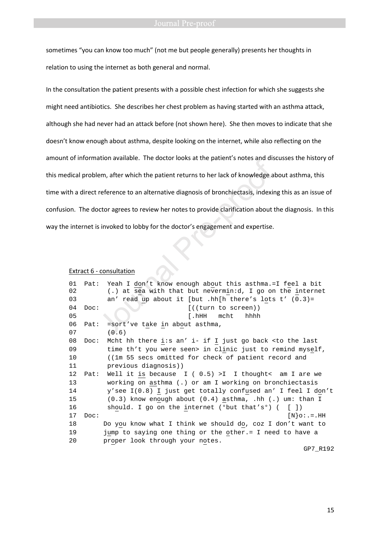sometimes "you can know too much" (not me but people generally) presents her thoughts in relation to using the internet as both general and normal.

In the consultation the patient presents with a possible chest infection for which she suggests she might need antibiotics. She describes her chest problem as having started with an asthma attack, although she had never had an attack before (not shown here). She then moves to indicate that she doesn't know enough about asthma, despite looking on the internet, while also reflecting on the amount of information available. The doctor looks at the patient's notes and discusses the history of this medical problem, after which the patient returns to her lack of knowledge about asthma, this time with a direct reference to an alternative diagnosis of bronchiectasis, indexing this as an issue of confusion. The doctor agrees to review her notes to provide clarification about the diagnosis. In this way the internet is invoked to lobby for the doctor's engagement and expertise. en, after which the patient returns to her lack of knowledge a<br>reference to an alternative diagnosis of bronchiectasis, indexir<br>octor agrees to review her notes to provide clarification about t<br>s invoked to lobby for the d

### Extract 6 - consultation

| 01 | Pat: | Yeah I don't know enough about this asthma.=I feel a bit                   |
|----|------|----------------------------------------------------------------------------|
| 02 |      | (.) at sea with that but nevermin:d, I go on the internet                  |
| 03 |      | an' read up about it [but .hh[h there's lots t' $(0.3)$ =                  |
| 04 | Doc: | $[$ ((turn to screen))                                                     |
| 05 |      | [.hHH<br>hhhh<br>mcht                                                      |
| 06 | Pat: | =sort've take in about asthma,                                             |
| 07 |      | (0.6)                                                                      |
| 08 | Doc: | Mcht hh there i:s an' i- if I just go back <to last<="" td="" the=""></to> |
| 09 |      | time th't you were seen> in clinic just to remind myself,                  |
| 10 |      | ((1m 55 secs omitted for check of patient record and                       |
| 11 |      | previous diagnosis))                                                       |
| 12 | Pat: | Well it is because $I (0.5) > I I$ thought< am I are we                    |
| 13 |      | working on asthma (.) or am I working on bronchiectasis                    |
| 14 |      | y'see I(0.8) I just get totally confused an' I feel I don't                |
| 15 |      | $(0.3)$ know enough about $(0.4)$ asthma, .hh $(.)$ um: than I             |
| 16 |      | should. I go on the internet ( $^{\circ}$ but that's $^{\circ}$ ) ([])     |
| 17 | Doc: | $[N]$ $\circ$ : $=$ $.HH$                                                  |
| 18 |      | Do you know what I think we should do, coz I don't want to                 |
| 19 |      | jump to saying one thing or the other.= I need to have a                   |
| 20 |      | proper look through your notes.                                            |
|    |      | GP7 R192                                                                   |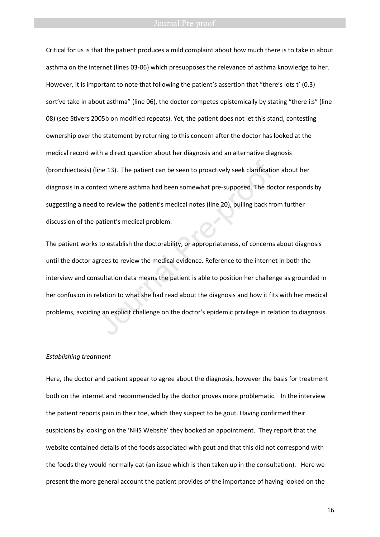Critical for us is that the patient produces a mild complaint about how much there is to take in about asthma on the internet (lines 03-06) which presupposes the relevance of asthma knowledge to her. However, it is important to note that following the patient's assertion that "there's lots t' (0.3) sort've take in about asthma" (line 06), the doctor competes epistemically by stating "there i:s" (line 08) (see Stivers 2005b on modified repeats). Yet, the patient does not let this stand, contesting ownership over the statement by returning to this concern after the doctor has looked at the medical record with a direct question about her diagnosis and an alternative diagnosis (bronchiectasis) (line 13). The patient can be seen to proactively seek clarification about her diagnosis in a context where asthma had been somewhat pre-supposed. The doctor responds by suggesting a need to review the patient's medical notes (line 20), pulling back from further discussion of the patient's medical problem.

The patient works to establish the doctorability, or appropriateness, of concerns about diagnosis until the doctor agrees to review the medical evidence. Reference to the internet in both the interview and consultation data means the patient is able to position her challenge as grounded in her confusion in relation to what she had read about the diagnosis and how it fits with her medical problems, avoiding an explicit challenge on the doctor's epidemic privilege in relation to diagnosis. ine 13). The patient can be seen to proactively seek clarificatic<br>text where asthma had been somewhat pre-supposed. The doe<br>to review the patient's medical notes (line 20), pulling back fre<br>patient's medical problem.<br>to es

### *Establishing treatment*

Here, the doctor and patient appear to agree about the diagnosis, however the basis for treatment both on the internet and recommended by the doctor proves more problematic. In the interview the patient reports pain in their toe, which they suspect to be gout. Having confirmed their suspicions by looking on the 'NHS Website' they booked an appointment. They report that the website contained details of the foods associated with gout and that this did not correspond with the foods they would normally eat (an issue which is then taken up in the consultation). Here we present the more general account the patient provides of the importance of having looked on the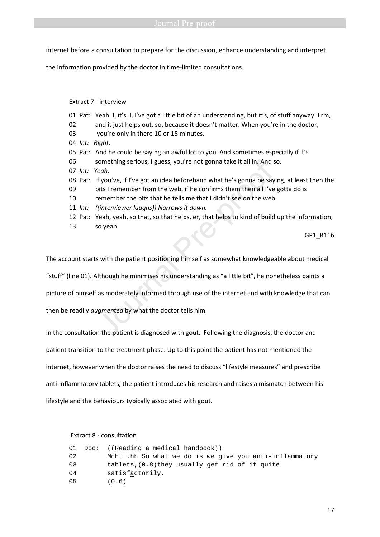internet before a consultation to prepare for the discussion, enhance understanding and interpret

the information provided by the doctor in time-limited consultations.

### Extract 7 - interview

01 Pat: Yeah. I, it's, I, I've got a little bit of an understanding, but it's, of stuff anyway. Erm, 02 and it just helps out, so, because it doesn't matter. When you're in the doctor, 03 you're only in there 10 or 15 minutes. 04 *Int: Right.*  05 Pat: And he could be saying an awful lot to you. And sometimes especially if it's 06 something serious, I guess, you're not gonna take it all in. And so. 07 *Int: Yeah.*  08 Pat: If you've, if I've got an idea beforehand what he's gonna be saying, at least then the 09 bits I remember from the web, if he confirms them then all I've gotta do is 10 remember the bits that he tells me that I didn't see on the web. 11 *Int: ((interviewer laughs)) Narrows it down.*  12 Pat: Yeah, yeah, so that, so that helps, er, that helps to kind of build up the information, 13 so yeah. iomething serious, I guess, you're not gonna take it all in. And seah.<br>
f you've, if I've got an idea beforehand what he's gonna be say<br>
oits I remember from the web, if he confirms them then all I've<br>
emember the bits tha

GP1\_R116

The account starts with the patient positioning himself as somewhat knowledgeable about medical

"stuff" (line 01). Although he minimises his understanding as "a little bit", he nonetheless paints a

picture of himself as moderately informed through use of the internet and with knowledge that can

then be readily *augmented* by what the doctor tells him.

In the consultation the patient is diagnosed with gout. Following the diagnosis, the doctor and

patient transition to the treatment phase. Up to this point the patient has not mentioned the

internet, however when the doctor raises the need to discuss "lifestyle measures" and prescribe

anti-inflammatory tablets, the patient introduces his research and raises a mismatch between his

lifestyle and the behaviours typically associated with gout.

Extract 8 - consultation

|    | 01 Doc: ((Reading a medical handbook))                  |  |  |  |  |
|----|---------------------------------------------------------|--|--|--|--|
| 02 | Mcht .hh So what we do is we give you anti-inflammatory |  |  |  |  |
| 03 | tablets, $(0.8)$ they usually get rid of it quite       |  |  |  |  |
| 04 | satisfactorily.                                         |  |  |  |  |
| 05 | (0.6)                                                   |  |  |  |  |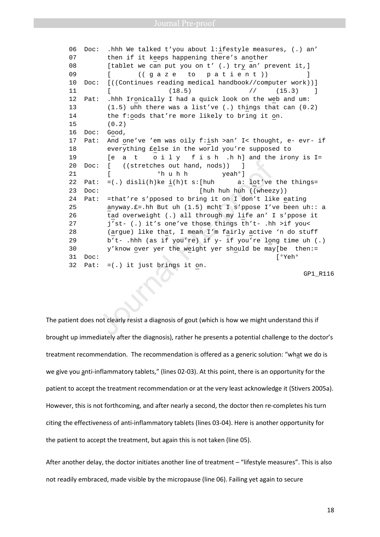06 Doc: .hhh We talked t'you about l:ifestyle measures, (.) an' 07 then if it keeps happening there's another 08 [tablet we can put you on t' (.) try an' prevent it, ] 09 [ ((gaze to patient)) ] 10 Doc: [((Continues reading medical handbook//computer work))] 11 [ (18.5) // (15.3) ] 12 Pat: .hhh Ironically I had a quick look on the web and um: 13 (1.5) uhh there was a list've (.) things that can (0.2) 14 the f:oods that're more likely to bring it on. 15 (0.2) 16 Doc: Good, 17 Pat: And one've 'em was oily f:ish >an' I< thought, e- evr- if 18 everything £else in the world you're supposed to 19 [e a t o i l y f i s h .h h] and the irony is I= 20 Doc: [ ((stretches out hand, nods)) ] 21 [ <sup>o</sup>h u h h yeah<sup>o</sup>] 22 Pat:  $=(.)$  disli(h)ke i(h)t s: [huh a: lot've the things= 23 Doc: [huh huh huh ((wheezy)) 24 Pat: =that're s'pposed to bring it on I don't like eating 25 anyway.£=.hh But uh (1.5) mcht I s'ppose I've been uh:: a 26 tad overweight (.) all through my life an' I s'ppose it 27 j'st- (.) it's one've those things th't- .hh >if you< 28 (argue) like that, I mean I'm fairly active 'n do stuff 29 b't- .hhh (as if you're) if y- if you're long time uh (.) 30 y'know over yer the weight yer should be may[be then:= 31 Doc: [°Yeh° 32 Pat: =(.) it just brings it on. Journal Pre- 2 of the diagnosis of gout (which is how we might under details)<br>  $\left[ \begin{array}{ccc} (s\text{tretches out hand, nods})) & 1 \end{array} \right]$ <br>  $\left[ \begin{array}{ccc} \circ h\text{ u h} & 1 \end{array} \right]$   $\left[ \begin{array}{ccc} \circ h\text{ u h} & 1 \end{array} \right]$   $\left[ \begin{array}{ccc} \circ h\text{ u h} & 1 \end{array} \$ 

GP1\_R116

The patient does not clearly resist a diagnosis of gout (which is how we might understand this if brought up immediately after the diagnosis), rather he presents a potential challenge to the doctor's treatment recommendation. The recommendation is offered as a generic solution: "what we do is we give you anti-inflammatory tablets," (lines 02-03). At this point, there is an opportunity for the patient to accept the treatment recommendation or at the very least acknowledge it (Stivers 2005a). However, this is not forthcoming, and after nearly a second, the doctor then re-completes his turn citing the effectiveness of anti-inflammatory tablets (lines 03-04). Here is another opportunity for the patient to accept the treatment, but again this is not taken (line 05).

After another delay, the doctor initiates another line of treatment – "lifestyle measures". This is also not readily embraced, made visible by the micropause (line 06). Failing yet again to secure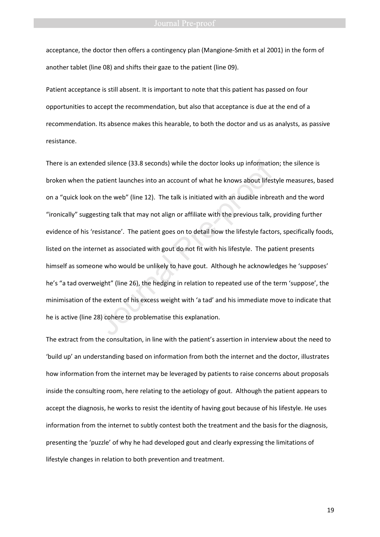acceptance, the doctor then offers a contingency plan (Mangione-Smith et al 2001) in the form of another tablet (line 08) and shifts their gaze to the patient (line 09).

Patient acceptance is still absent. It is important to note that this patient has passed on four opportunities to accept the recommendation, but also that acceptance is due at the end of a recommendation. Its absence makes this hearable, to both the doctor and us as analysts, as passive resistance.

There is an extended silence (33.8 seconds) while the doctor looks up information; the silence is broken when the patient launches into an account of what he knows about lifestyle measures, based on a "quick look on the web" (line 12). The talk is initiated with an audible inbreath and the word "ironically" suggesting talk that may not align or affiliate with the previous talk, providing further evidence of his 'resistance'. The patient goes on to detail how the lifestyle factors, specifically foods, listed on the internet as associated with gout do not fit with his lifestyle. The patient presents himself as someone who would be unlikely to have gout. Although he acknowledges he 'supposes' he's "a tad overweight" (line 26), the hedging in relation to repeated use of the term 'suppose', the minimisation of the extent of his excess weight with 'a tad' and his immediate move to indicate that he is active (line 28) cohere to problematise this explanation. ded silence (33.8 seconds) while the doctor looks up informatic<br>patient launches into an account of what he knows about lifest<br>n the web" (line 12). The talk is initiated with an audible inbre<br>sting talk that may not align

The extract from the consultation, in line with the patient's assertion in interview about the need to 'build up' an understanding based on information from both the internet and the doctor, illustrates how information from the internet may be leveraged by patients to raise concerns about proposals inside the consulting room, here relating to the aetiology of gout. Although the patient appears to accept the diagnosis, he works to resist the identity of having gout because of his lifestyle. He uses information from the internet to subtly contest both the treatment and the basis for the diagnosis, presenting the 'puzzle' of why he had developed gout and clearly expressing the limitations of lifestyle changes in relation to both prevention and treatment.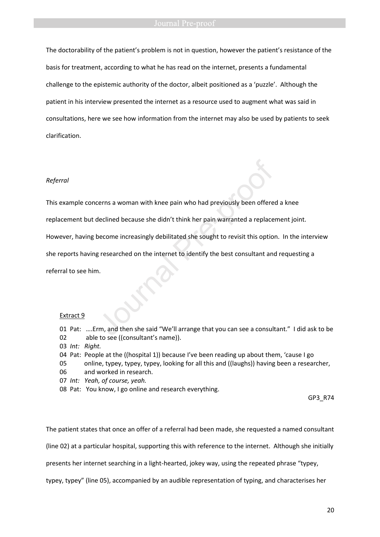The doctorability of the patient's problem is not in question, however the patient's resistance of the basis for treatment, according to what he has read on the internet, presents a fundamental challenge to the epistemic authority of the doctor, albeit positioned as a 'puzzle'. Although the patient in his interview presented the internet as a resource used to augment what was said in consultations, here we see how information from the internet may also be used by patients to seek clarification.

### *Referral*

This example concerns a woman with knee pain who had previously been offered a knee

replacement but declined because she didn't think her pain warranted a replacement joint.

However, having become increasingly debilitated she sought to revisit this option. In the interview

she reports having researched on the internet to identify the best consultant and requesting a

referral to see him.

### Extract 9

- 01 Pat: ….Erm, and then she said "We'll arrange that you can see a consultant." I did ask to be 02 able to see ((consultant's name)). Exerns a woman with knee pain who had previously been offere<br>declined because she didn't think her pain warranted a replace<br>pecome increasingly debilitated she sought to revisit this option<br>gresearched on the internet to i
- 03 *Int: Right.*
- 04 Pat: People at the ((hospital 1)) because I've been reading up about them, 'cause I go
- 05 online, typey, typey, typey, looking for all this and ((laughs)) having been a researcher,
- 06 and worked in research.
- 07*Int: Yeah, of course, yeah.*
- 08 Pat: You know, I go online and research everything.

GP3\_R74

The patient states that once an offer of a referral had been made, she requested a named consultant

(line 02) at a particular hospital, supporting this with reference to the internet. Although she initially

presents her internet searching in a light-hearted, jokey way, using the repeated phrase "typey,

typey, typey" (line 05), accompanied by an audible representation of typing, and characterises her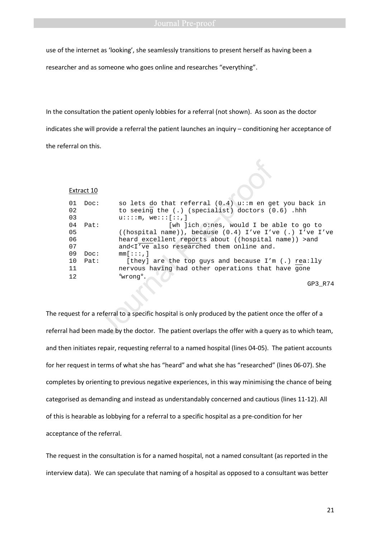use of the internet as 'looking', she seamlessly transitions to present herself as having been a

researcher and as someone who goes online and researches "everything".

In the consultation the patient openly lobbies for a referral (not shown). As soon as the doctor indicates she will provide a referral the patient launches an inquiry – conditioning her acceptance of the referral on this.

|                      | Extract 10   |                                                                                                                                                                                                                                             |
|----------------------|--------------|---------------------------------------------------------------------------------------------------------------------------------------------------------------------------------------------------------------------------------------------|
| 01<br>02<br>03       | Doc:         | so lets do that referral $(0.4)$ u::m en get you back in<br>to seeing the $(.)$ (specialist) doctors $(0.6)$ .hhh<br>$u:::,$ we::: $[::]$                                                                                                   |
| 04<br>05<br>06<br>07 | Pat:         | [wh ]ich o:nes, would I be able to go to<br>((hospital name)), because $(0.4)$ I've I've (.) I've I've<br>heard excellent reports about ((hospital name)) > and<br>and <i've also="" and.<="" online="" researched="" td="" them=""></i've> |
| 09<br>10<br>11<br>12 | Doc:<br>Pat: | $mm[$ :::,]<br>[they] are the top guys and because $I'm$ (.) rea:lly<br>nervous having had other operations that have gone<br>°wrong°.<br>GP3 R74                                                                                           |
|                      |              | uest for a referral to a specific hospital is only produced by the patient once the offer of a                                                                                                                                              |
|                      |              | had been made by the doctor. The patient overlaps the offer with a query as to which team,                                                                                                                                                  |

The request for a referral to a specific hospital is only produced by the patient once the offer of a referral had been made by the doctor. The patient overlaps the offer with a query as to which team, and then initiates repair, requesting referral to a named hospital (lines 04-05). The patient accounts for her request in terms of what she has "heard" and what she has "researched" (lines 06-07). She completes by orienting to previous negative experiences, in this way minimising the chance of being categorised as demanding and instead as understandably concerned and cautious (lines 11-12). All of this is hearable as lobbying for a referral to a specific hospital as a pre-condition for her acceptance of the referral.

The request in the consultation is for a named hospital, not a named consultant (as reported in the interview data). We can speculate that naming of a hospital as opposed to a consultant was better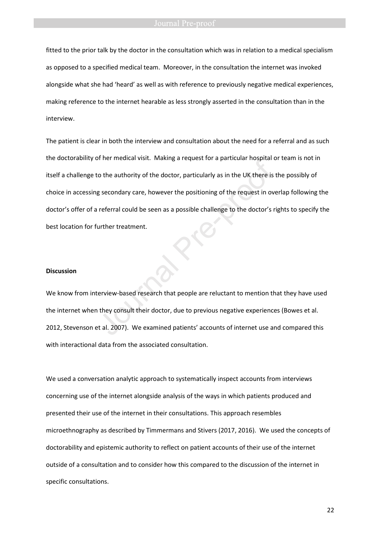fitted to the prior talk by the doctor in the consultation which was in relation to a medical specialism as opposed to a specified medical team. Moreover, in the consultation the internet was invoked alongside what she had 'heard' as well as with reference to previously negative medical experiences, making reference to the internet hearable as less strongly asserted in the consultation than in the interview.

The patient is clear in both the interview and consultation about the need for a referral and as such the doctorability of her medical visit. Making a request for a particular hospital or team is not in itself a challenge to the authority of the doctor, particularly as in the UK there is the possibly of choice in accessing secondary care, however the positioning of the request in overlap following the doctor's offer of a referral could be seen as a possible challenge to the doctor's rights to specify the best location for further treatment. Frien ineutial visit. Waking a request for a particular hospital to<br>the authority of the doctor, particularly as in the UK there is<br>g secondary care, however the positioning of the request in ov<br>referral could be seen as a

### **Discussion**

We know from interview-based research that people are reluctant to mention that they have used the internet when they consult their doctor, due to previous negative experiences (Bowes et al. 2012, Stevenson et al. 2007). We examined patients' accounts of internet use and compared this with interactional data from the associated consultation.

We used a conversation analytic approach to systematically inspect accounts from interviews concerning use of the internet alongside analysis of the ways in which patients produced and presented their use of the internet in their consultations. This approach resembles microethnography as described by Timmermans and Stivers (2017, 2016). We used the concepts of doctorability and epistemic authority to reflect on patient accounts of their use of the internet outside of a consultation and to consider how this compared to the discussion of the internet in specific consultations.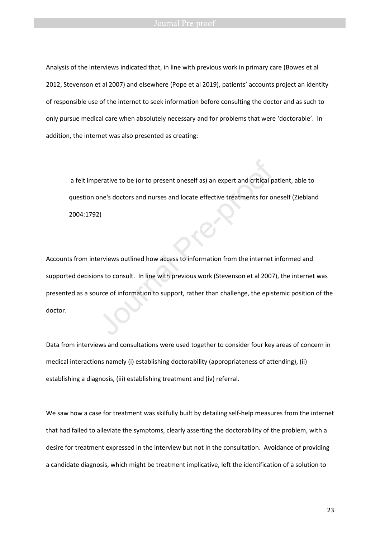Analysis of the interviews indicated that, in line with previous work in primary care (Bowes et al 2012, Stevenson et al 2007) and elsewhere (Pope et al 2019), patients' accounts project an identity of responsible use of the internet to seek information before consulting the doctor and as such to only pursue medical care when absolutely necessary and for problems that were 'doctorable'. In addition, the internet was also presented as creating:

 a felt imperative to be (or to present oneself as) an expert and critical patient, able to question one's doctors and nurses and locate effective treatments for oneself (Ziebland 2004:1792)

Accounts from interviews outlined how access to information from the internet informed and supported decisions to consult. In line with previous work (Stevenson et al 2007), the internet was presented as a source of information to support, rather than challenge, the epistemic position of the doctor. erative to be (or to present oneself as) an expert and critical pone's doctors and nurses and locate effective treatments for or<br>2)<br>2)<br>erviews outlined how access to information from the internet<br>ns to consult. In line wit

Data from interviews and consultations were used together to consider four key areas of concern in medical interactions namely (i) establishing doctorability (appropriateness of attending), (ii) establishing a diagnosis, (iii) establishing treatment and (iv) referral.

We saw how a case for treatment was skilfully built by detailing self-help measures from the internet that had failed to alleviate the symptoms, clearly asserting the doctorability of the problem, with a desire for treatment expressed in the interview but not in the consultation. Avoidance of providing a candidate diagnosis, which might be treatment implicative, left the identification of a solution to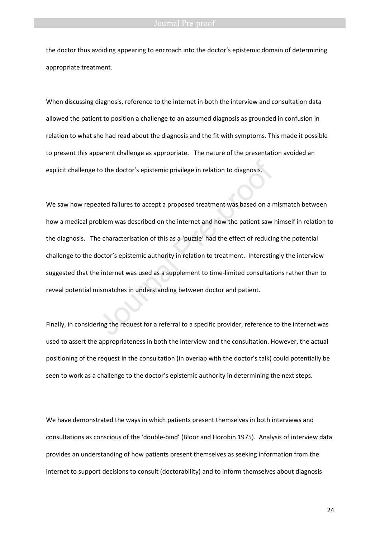### **Journal Pre-proof**

the doctor thus avoiding appearing to encroach into the doctor's epistemic domain of determining appropriate treatment.

When discussing diagnosis, reference to the internet in both the interview and consultation data allowed the patient to position a challenge to an assumed diagnosis as grounded in confusion in relation to what she had read about the diagnosis and the fit with symptoms. This made it possible to present this apparent challenge as appropriate. The nature of the presentation avoided an explicit challenge to the doctor's epistemic privilege in relation to diagnosis.

We saw how repeated failures to accept a proposed treatment was based on a mismatch between how a medical problem was described on the internet and how the patient saw himself in relation to the diagnosis. The characterisation of this as a 'puzzle' had the effect of reducing the potential challenge to the doctor's epistemic authority in relation to treatment. Interestingly the interview suggested that the internet was used as a supplement to time-limited consultations rather than to reveal potential mismatches in understanding between doctor and patient. to the doctor's epistemic privilege in relation to diagnosis.<br>
ated failures to accept a proposed treatment was based on a n<br>
bblem was described on the internet and how the patient saw<br>
e characterisation of this as a 'pu

Finally, in considering the request for a referral to a specific provider, reference to the internet was used to assert the appropriateness in both the interview and the consultation. However, the actual positioning of the request in the consultation (in overlap with the doctor's talk) could potentially be seen to work as a challenge to the doctor's epistemic authority in determining the next steps.

We have demonstrated the ways in which patients present themselves in both interviews and consultations as conscious of the 'double-bind' (Bloor and Horobin 1975). Analysis of interview data provides an understanding of how patients present themselves as seeking information from the internet to support decisions to consult (doctorability) and to inform themselves about diagnosis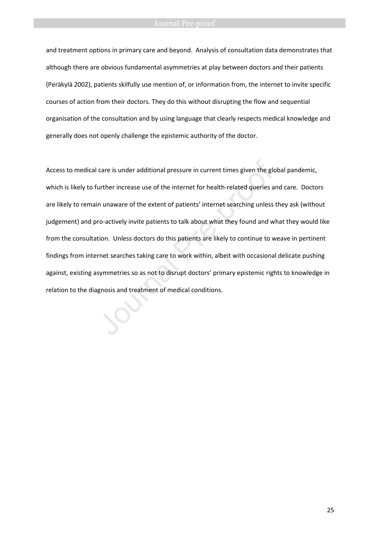and treatment options in primary care and beyond. Analysis of consultation data demonstrates that although there are obvious fundamental asymmetries at play between doctors and their patients (Peräkylä 2002), patients skilfully use mention of, or information from, the internet to invite specific courses of action from their doctors. They do this without disrupting the flow and sequential organisation of the consultation and by using language that clearly respects medical knowledge and generally does not openly challenge the epistemic authority of the doctor.

Access to medical care is under additional pressure in current times given the global pandemic, which is likely to further increase use of the internet for health-related queries and care. Doctors are likely to remain unaware of the extent of patients' internet searching unless they ask (without judgement) and pro-actively invite patients to talk about what they found and what they would like from the consultation. Unless doctors do this patients are likely to continue to weave in pertinent findings from internet searches taking care to work within, albeit with occasional delicate pushing against, existing asymmetries so as not to disrupt doctors' primary epistemic rights to knowledge in relation to the diagnosis and treatment of medical conditions. Access to medical care is under additional pressure in current times given the glowhich is likely to further increase use of the internet for health-related queries a are likely to remain unaware of the extent of patients'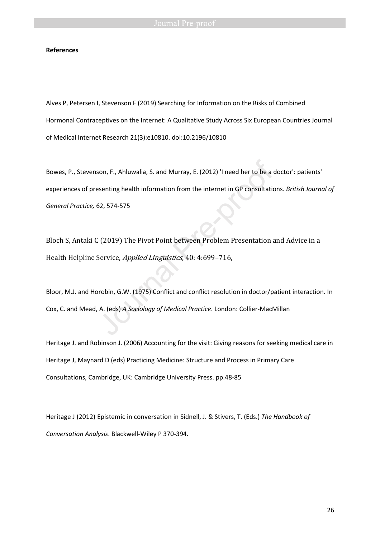### **References**

Alves P, Petersen I, Stevenson F (2019) Searching for Information on the Risks of Combined Hormonal Contraceptives on the Internet: A Qualitative Study Across Six European Countries Journal of Medical Internet Research 21(3):e10810. doi:10.2196/10810

Bowes, P., Stevenson, F., Ahluwalia, S. and Murray, E. (2012) 'I need her to be a doctor': patients' experiences of presenting health information from the internet in GP consultations. *British Journal of General Practice,* 62, 574-575 son, F., Ahluwalia, S. and Murray, E. (2012) 'I need her to be a desenting health information from the internet in GP consultation<br>62, 574-575<br>162, 574-575<br>162, 774-575<br>162, 774-575<br>162, 774-575<br>162, 774-575<br>162, 774-575<br>1

Bloch S, Antaki C (2019) The Pivot Point between Problem Presentation and Advice in a Health Helpline Service, Applied Linguistics, 40: 4:699–716,

Bloor, M.J. and Horobin, G.W. (1975) Conflict and conflict resolution in doctor/patient interaction. In Cox, C. and Mead, A. (eds) *A Sociology of Medical Practice*. London: Collier-MacMillan

Heritage J. and Robinson J. (2006) Accounting for the visit: Giving reasons for seeking medical care in Heritage J, Maynard D (eds) Practicing Medicine: Structure and Process in Primary Care Consultations, Cambridge, UK: Cambridge University Press. pp.48-85

Heritage J (2012) Epistemic in conversation in Sidnell, J. & Stivers, T. (Eds.) *The Handbook of Conversation Analysis*. Blackwell-Wiley P 370-394.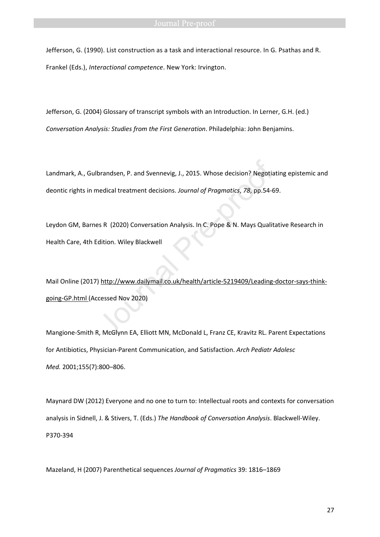### Journal Pre-proof

Jefferson, G. (1990). List construction as a task and interactional resource. In G. Psathas and R. Frankel (Eds.), *Interactional competence*. New York: Irvington.

Jefferson, G. (2004) Glossary of transcript symbols with an Introduction. In Lerner, G.H. (ed.) *Conversation Analysis: Studies from the First Generation*. Philadelphia: John Benjamins.

Landmark, A., Gulbrandsen, P. and Svennevig, J., 2015. Whose decision? Negotiating epistemic and deontic rights in medical treatment decisions. *Journal of Pragmatics*, *78*, pp.54-69. brandsen, P. and Svennevig, J., 2015. Whose decision? Negotia<br>
nedical treatment decisions. Journal of Pragmatics, 78, pp.54-6<br>
ES R (2020) Conversation Analysis. In C. Pope & N. Mays Qualit<br>
dition. Wiley Blackwell<br>
) htt

Leydon GM, Barnes R (2020) Conversation Analysis. In C. Pope & N. Mays Qualitative Research in Health Care, 4th Edition. Wiley Blackwell

Mail Online (2017) http://www.dailymail.co.uk/health/article-5219409/Leading-doctor-says-thinkgoing-GP.html (Accessed Nov 2020)

Mangione-Smith R, McGlynn EA, Elliott MN, McDonald L, Franz CE, Kravitz RL. Parent Expectations for Antibiotics, Physician-Parent Communication, and Satisfaction. *Arch Pediatr Adolesc Med.* 2001;155(7):800–806.

Maynard DW (2012) Everyone and no one to turn to: Intellectual roots and contexts for conversation analysis in Sidnell, J. & Stivers, T. (Eds.) *The Handbook of Conversation Analysis*. Blackwell-Wiley. P370-394

Mazeland, H (2007) Parenthetical sequences *Journal of Pragmatics* 39: 1816–1869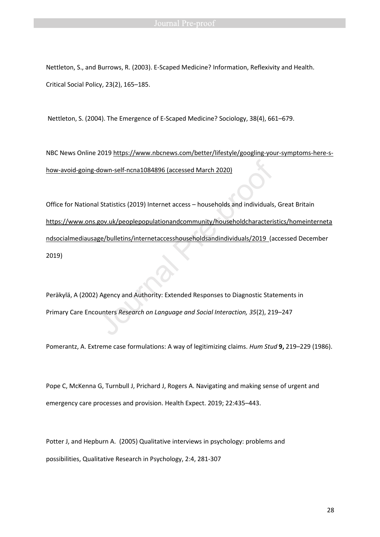Nettleton, S., and Burrows, R. (2003). E-Scaped Medicine? Information, Reflexivity and Health. Critical Social Policy, 23(2), 165–185.

Nettleton, S. (2004). The Emergence of E-Scaped Medicine? Sociology, 38(4), 661–679.

NBC News Online 2019 https://www.nbcnews.com/better/lifestyle/googling-your-symptoms-here-show-avoid-going-down-self-ncna1084896 (accessed March 2020)

Office for National Statistics (2019) Internet access – households and individuals, Great Britain https://www.ons.gov.uk/peoplepopulationandcommunity/householdcharacteristics/homeinterneta ndsocialmediausage/bulletins/internetaccesshouseholdsandindividuals/2019 (accessed December 2019) down-self-ncna1084896 (accessed March 2020)<br>
J Statistics (2019) Internet access – households and individuals<br>
gov.uk/peoplepopulationandcommunity/householdcharacteris<br>
ge/bulletins/internetaccesshouseholdsandindividuals/2

Peräkylä, A (2002) Agency and Authority: Extended Responses to Diagnostic Statements in Primary Care Encounters *Research on Language and Social Interaction, 35*(2), 219–247

Pomerantz, A. Extreme case formulations: A way of legitimizing claims. *Hum Stud* **9,** 219–229 (1986).

Pope C, McKenna G, Turnbull J, Prichard J, Rogers A. Navigating and making sense of urgent and emergency care processes and provision. Health Expect. 2019; 22:435–443.

Potter J, and Hepburn A. (2005) Qualitative interviews in psychology: problems and possibilities, Qualitative Research in Psychology, 2:4, 281-307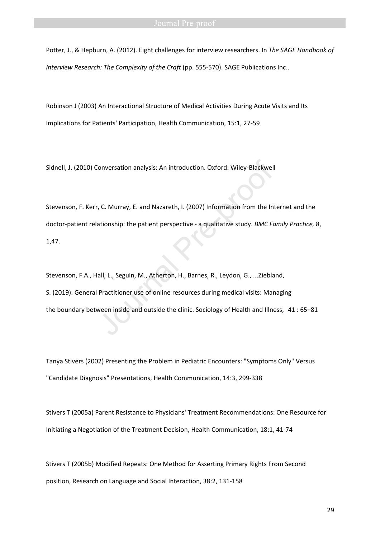Potter, J., & Hepburn, A. (2012). Eight challenges for interview researchers. In *The SAGE Handbook of Interview Research: The Complexity of the Craft (pp. 555-570). SAGE Publications Inc..* 

Robinson J (2003) An Interactional Structure of Medical Activities During Acute Visits and Its Implications for Patients' Participation, Health Communication, 15:1, 27-59

Sidnell, J. (2010) Conversation analysis: An introduction. Oxford: Wiley-Blackwell

Stevenson, F. Kerr, C. Murray, E. and Nazareth, I. (2007) Information from the Internet and the doctor-patient relationship: the patient perspective - a qualitative study. *BMC Family Practice,* 8, 1,47. Conversation analysis: An introduction. Oxford: Wiley-Blackwell<br>
J. C. Murray, E. and Nazareth, I. (2007) Information from the Initionship: the patient perspective - a qualitative study. *BMC Fc*<br>
J. (2007) Information fro

Stevenson, F.A., Hall, L., Seguin, M., Atherton, H., Barnes, R., Leydon, G., ...Ziebland, S. (2019). General Practitioner use of online resources during medical visits: Managing the boundary between inside and outside the clinic. Sociology of Health and Illness, 41 : 65–81

Tanya Stivers (2002) Presenting the Problem in Pediatric Encounters: "Symptoms Only" Versus "Candidate Diagnosis" Presentations, Health Communication, 14:3, 299-338

Stivers T (2005a) Parent Resistance to Physicians' Treatment Recommendations: One Resource for Initiating a Negotiation of the Treatment Decision, Health Communication, 18:1, 41-74

Stivers T (2005b) Modified Repeats: One Method for Asserting Primary Rights From Second position, Research on Language and Social Interaction, 38:2, 131-158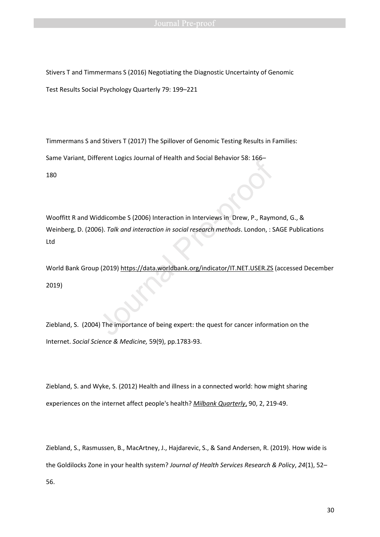Stivers T and Timmermans S (2016) Negotiating the Diagnostic Uncertainty of Genomic Test Results Social Psychology Quarterly 79: 199–221

Timmermans S and Stivers T (2017) The Spillover of Genomic Testing Results in Families:

Same Variant, Different Logics Journal of Health and Social Behavior 58: 166–

180

Wooffitt R and Widdicombe S (2006) Interaction in Interviews in Drew, P., Raymond, G., & Weinberg, D. (2006). *Talk and interaction in social research methods*. London, : SAGE Publications Ltd Erent Lugius Journal of Health and Social Behavior Jo. 100–<br>Journal of Health and Social Behavior Jo. 100–<br>Journal Pre-provides in Drew, P., Raym<br>6). Talk and interaction in social research methods. London, : S<br>10 (2019) h

World Bank Group (2019) https://data.worldbank.org/indicator/IT.NET.USER.ZS (accessed December 2019)

Ziebland, S. (2004) The importance of being expert: the quest for cancer information on the Internet. *Social Science & Medicine,* 59(9), pp.1783-93.

Ziebland, S. and Wyke, S. (2012) Health and illness in a connected world: how might sharing experiences on the internet affect people's health? *Milbank Quarterly*, 90, 2, 219-49.

Ziebland, S., Rasmussen, B., MacArtney, J., Hajdarevic, S., & Sand Andersen, R. (2019). How wide is the Goldilocks Zone in your health system? *Journal of Health Services Research & Policy*, *24*(1), 52– 56.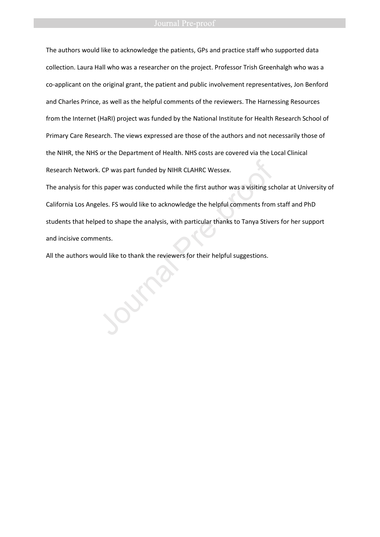The authors would like to acknowledge the patients, GPs and practice staff who supported data collection. Laura Hall who was a researcher on the project. Professor Trish Greenhalgh who was a co-applicant on the original grant, the patient and public involvement representatives, Jon Benford and Charles Prince, as well as the helpful comments of the reviewers. The Harnessing Resources from the Internet (HaRI) project was funded by the National Institute for Health Research School of Primary Care Research. The views expressed are those of the authors and not necessarily those of the NIHR, the NHS or the Department of Health. NHS costs are covered via the Local Clinical Research Network. CP was part funded by NIHR CLAHRC Wessex.

The analysis for this paper was conducted while the first author was a visiting scholar at University of California Los Angeles. FS would like to acknowledge the helpful comments from staff and PhD students that helped to shape the analysis, with particular thanks to Tanya Stivers for her support and incisive comments. Research Network. CP was part funded by NIHR CLAHRC Wessex.<br>The analysis for this paper was conducted while the first author was a visiting scl<br>California Los Angeles. FS would like to acknowledge the helpful comments from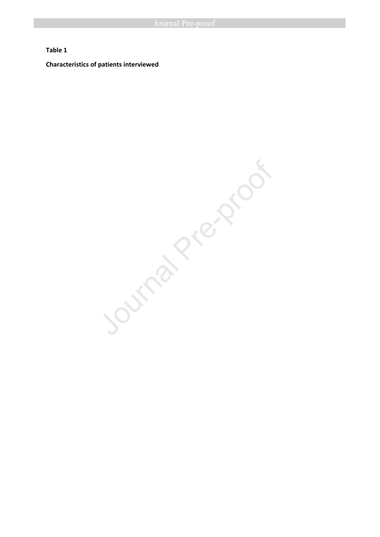### **Table 1**

**Characteristics of patients interviewed** 

Ournal Pre-proof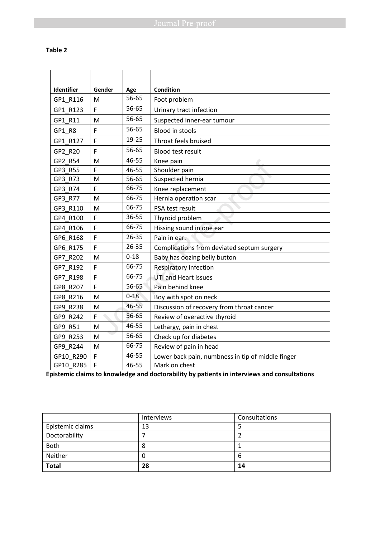# **Table 2**

| Identifier | Gender | Age       | <b>Condition</b>                                  |
|------------|--------|-----------|---------------------------------------------------|
| GP1 R116   | M      | 56-65     | Foot problem                                      |
| GP1_R123   | F      | 56-65     | Urinary tract infection                           |
| GP1 R11    | M      | 56-65     | Suspected inner-ear tumour                        |
| GP1_R8     | F      | 56-65     | <b>Blood in stools</b>                            |
| GP1 R127   | F      | 19-25     | Throat feels bruised                              |
| GP2 R20    | F      | 56-65     | <b>Blood test result</b>                          |
| GP2 R54    | M      | 46-55     | Knee pain                                         |
| GP3 R55    | F      | 46-55     | Shoulder pain                                     |
| GP3_R73    | M      | 56-65     | Suspected hernia                                  |
| GP3 R74    | F      | 66-75     | Knee replacement                                  |
| GP3 R77    | M      | 66-75     | Hernia operation scar                             |
| GP3 R110   | M      | 66-75     | PSA test result                                   |
| GP4 R100   | F      | 36-55     | Thyroid problem                                   |
| GP4 R106   | F      | 66-75     | Hissing sound in one ear                          |
| GP6 R168   | F      | 26-35     | Pain in ear.                                      |
| GP6 R175   | F      | $26 - 35$ | Complications from deviated septum surgery        |
| GP7_R202   | M      | $0 - 18$  | Baby has oozing belly button                      |
| GP7 R192   | F      | 66-75     | <b>Respiratory infection</b>                      |
| GP7 R198   | F      | 66-75     | <b>UTI and Heart issues</b>                       |
| GP8 R207   | F      | 56-65     | Pain behind knee                                  |
| GP8 R216   | M      | $0 - 18$  | Boy with spot on neck                             |
| GP9 R238   | M      | 46-55     | Discussion of recovery from throat cancer         |
| GP9 R242   | F      | 56-65     | Review of overactive thyroid                      |
| GP9 R51    | M      | 46-55     | Lethargy, pain in chest                           |
| GP9 R253   | M      | 56-65     | Check up for diabetes                             |
| GP9 R244   | M      | 66-75     | Review of pain in head                            |
| GP10 R290  | F      | 46-55     | Lower back pain, numbness in tip of middle finger |
| GP10 R285  | F      | 46-55     | Mark on chest                                     |

**Epistemic claims to knowledge and doctorability by patients in interviews and consultations** 

|                  | Interviews | Consultations |
|------------------|------------|---------------|
| Epistemic claims | 13         |               |
| Doctorability    |            |               |
| <b>Both</b>      | 8          |               |
| Neither          | υ          |               |
| <b>Total</b>     | 28         | 14            |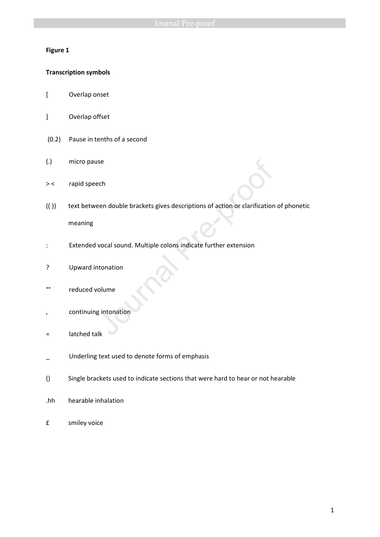# **Figure 1**

# **Transcription symbols**

- [ Overlap onset
- ] Overlap offset
- (0.2) Pause in tenths of a second
- (.) micro pause
- >< rapid speech
- (( )) text between double brackets gives descriptions of action or clarification of phonetic meaning See<br>
Heen double brackets gives descriptions of action or clarification<br>
Vocal sound. Multiple colons indicate further extension<br>
Monation<br>
Sintonation<br>
Sintonation<br>
Sintonation
- : Extended vocal sound. Multiple colons indicate further extension
- ? Upward intonation
- °° reduced volume
- , continuing intonation
- = latched talk
- Underling text used to denote forms of emphasis
- () Single brackets used to indicate sections that were hard to hear or not hearable
- .hh hearable inhalation
- £ smiley voice